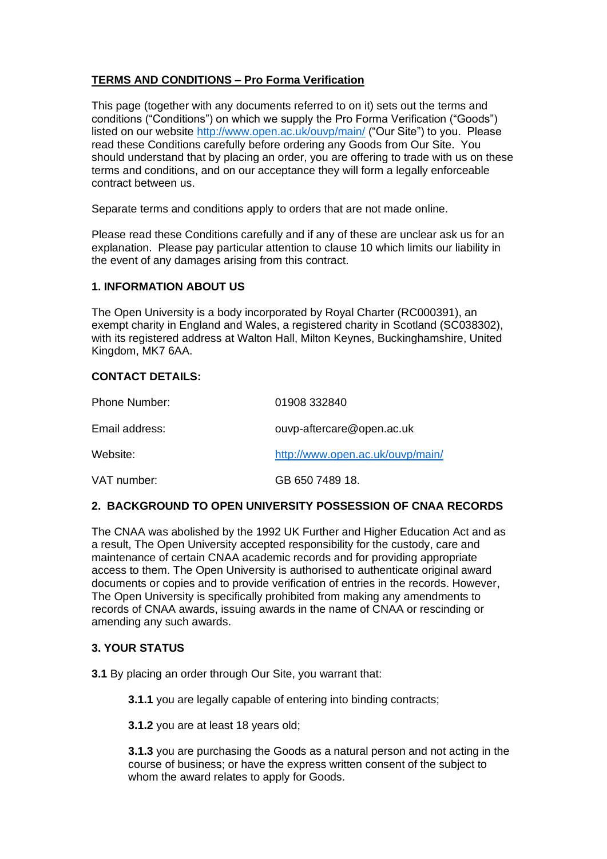# **TERMS AND CONDITIONS – Pro Forma Verification**

This page (together with any documents referred to on it) sets out the terms and conditions ("Conditions") on which we supply the Pro Forma Verification ("Goods") listed on our website<http://www.open.ac.uk/ouvp/main/> ("Our Site") to you. Please read these Conditions carefully before ordering any Goods from Our Site. You should understand that by placing an order, you are offering to trade with us on these terms and conditions, and on our acceptance they will form a legally enforceable contract between us.

Separate terms and conditions apply to orders that are not made online.

Please read these Conditions carefully and if any of these are unclear ask us for an explanation. Please pay particular attention to clause 10 which limits our liability in the event of any damages arising from this contract.

## **1. INFORMATION ABOUT US**

The Open University is a body incorporated by Royal Charter (RC000391), an exempt charity in England and Wales, a registered charity in Scotland (SC038302), with its registered address at Walton Hall, Milton Keynes, Buckinghamshire, United Kingdom, MK7 6AA.

#### **CONTACT DETAILS:**

| Phone Number:  | 01908 332840                     |
|----------------|----------------------------------|
| Email address: | ouvp-aftercare@open.ac.uk        |
| Website:       | http://www.open.ac.uk/ouvp/main/ |
| VAT number:    | GB 650 7489 18.                  |

## **2. BACKGROUND TO OPEN UNIVERSITY POSSESSION OF CNAA RECORDS**

The CNAA was abolished by the 1992 UK Further and Higher Education Act and as a result, The Open University accepted responsibility for the custody, care and maintenance of certain CNAA academic records and for providing appropriate access to them. The Open University is authorised to authenticate original award documents or copies and to provide verification of entries in the records. However, The Open University is specifically prohibited from making any amendments to records of CNAA awards, issuing awards in the name of CNAA or rescinding or amending any such awards.

#### **3. YOUR STATUS**

**3.1** By placing an order through Our Site, you warrant that:

**3.1.1** you are legally capable of entering into binding contracts;

**3.1.2** you are at least 18 years old;

**3.1.3** you are purchasing the Goods as a natural person and not acting in the course of business; or have the express written consent of the subject to whom the award relates to apply for Goods.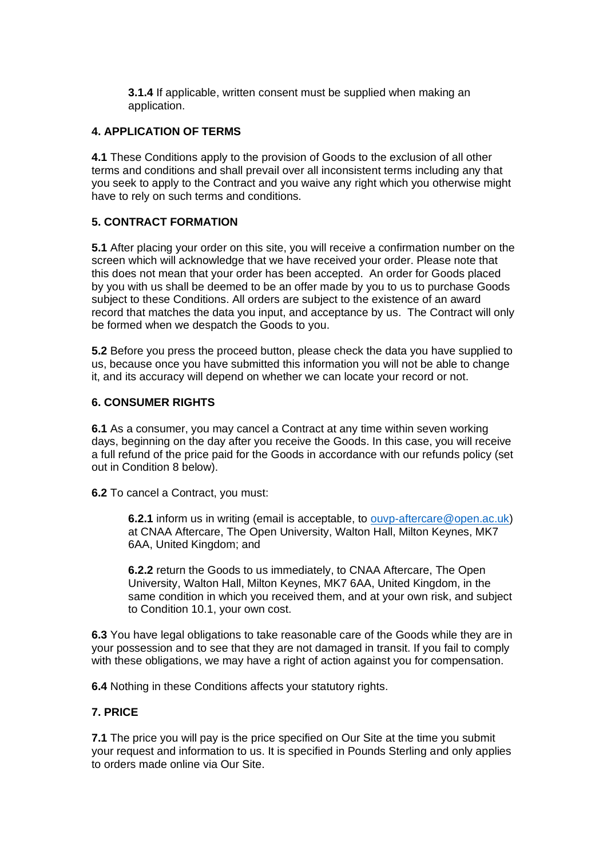**3.1.4** If applicable, written consent must be supplied when making an application.

## **4. APPLICATION OF TERMS**

**4.1** These Conditions apply to the provision of Goods to the exclusion of all other terms and conditions and shall prevail over all inconsistent terms including any that you seek to apply to the Contract and you waive any right which you otherwise might have to rely on such terms and conditions.

## **5. CONTRACT FORMATION**

**5.1** After placing your order on this site, you will receive a confirmation number on the screen which will acknowledge that we have received your order. Please note that this does not mean that your order has been accepted. An order for Goods placed by you with us shall be deemed to be an offer made by you to us to purchase Goods subject to these Conditions. All orders are subject to the existence of an award record that matches the data you input, and acceptance by us. The Contract will only be formed when we despatch the Goods to you.

**5.2** Before you press the proceed button, please check the data you have supplied to us, because once you have submitted this information you will not be able to change it, and its accuracy will depend on whether we can locate your record or not.

## **6. CONSUMER RIGHTS**

**6.1** As a consumer, you may cancel a Contract at any time within seven working days, beginning on the day after you receive the Goods. In this case, you will receive a full refund of the price paid for the Goods in accordance with our refunds policy (set out in Condition 8 below).

**6.2** To cancel a Contract, you must:

**6.2.1** inform us in writing (email is acceptable, to [ouvp-aftercare@open.ac.uk\)](mailto:ouvp-aftercare@open.ac.uk) at CNAA Aftercare, The Open University, Walton Hall, Milton Keynes, MK7 6AA, United Kingdom; and

**6.2.2** return the Goods to us immediately, to CNAA Aftercare, The Open University, Walton Hall, Milton Keynes, MK7 6AA, United Kingdom, in the same condition in which you received them, and at your own risk, and subject to Condition 10.1, your own cost.

**6.3** You have legal obligations to take reasonable care of the Goods while they are in your possession and to see that they are not damaged in transit. If you fail to comply with these obligations, we may have a right of action against you for compensation.

**6.4** Nothing in these Conditions affects your statutory rights.

## **7. PRICE**

**7.1** The price you will pay is the price specified on Our Site at the time you submit your request and information to us. It is specified in Pounds Sterling and only applies to orders made online via Our Site.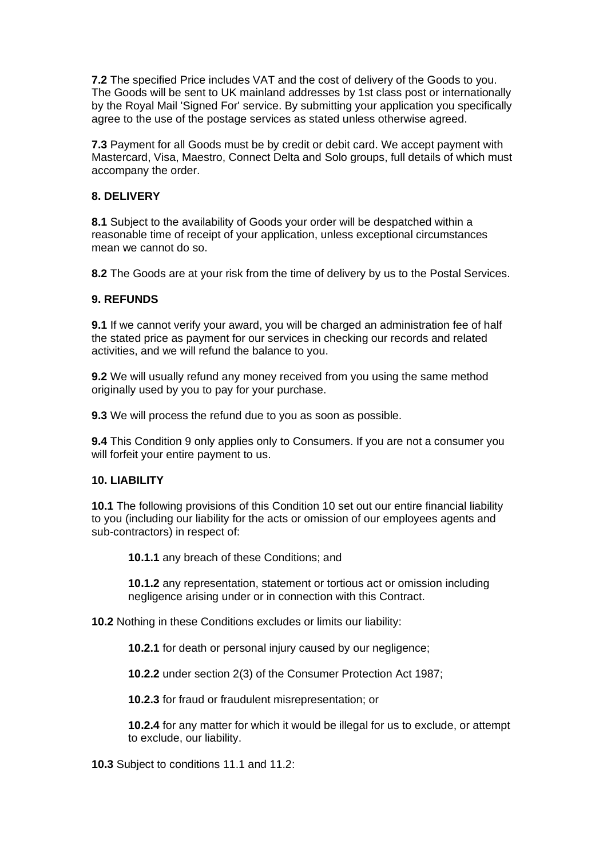**7.2** The specified Price includes VAT and the cost of delivery of the Goods to you. The Goods will be sent to UK mainland addresses by 1st class post or internationally by the Royal Mail 'Signed For' service. By submitting your application you specifically agree to the use of the postage services as stated unless otherwise agreed.

**7.3** Payment for all Goods must be by credit or debit card. We accept payment with Mastercard, Visa, Maestro, Connect Delta and Solo groups, full details of which must accompany the order.

## **8. DELIVERY**

**8.1** Subject to the availability of Goods your order will be despatched within a reasonable time of receipt of your application, unless exceptional circumstances mean we cannot do so.

**8.2** The Goods are at your risk from the time of delivery by us to the Postal Services.

## **9. REFUNDS**

**9.1** If we cannot verify your award, you will be charged an administration fee of half the stated price as payment for our services in checking our records and related activities, and we will refund the balance to you.

**9.2** We will usually refund any money received from you using the same method originally used by you to pay for your purchase.

**9.3** We will process the refund due to you as soon as possible.

**9.4** This Condition 9 only applies only to Consumers. If you are not a consumer you will forfeit your entire payment to us.

## **10. LIABILITY**

**10.1** The following provisions of this Condition 10 set out our entire financial liability to you (including our liability for the acts or omission of our employees agents and sub-contractors) in respect of:

**10.1.1** any breach of these Conditions; and

**10.1.2** any representation, statement or tortious act or omission including negligence arising under or in connection with this Contract.

**10.2** Nothing in these Conditions excludes or limits our liability:

**10.2.1** for death or personal injury caused by our negligence;

**10.2.2** under section 2(3) of the Consumer Protection Act 1987;

**10.2.3** for fraud or fraudulent misrepresentation; or

**10.2.4** for any matter for which it would be illegal for us to exclude, or attempt to exclude, our liability.

**10.3** Subject to conditions 11.1 and 11.2: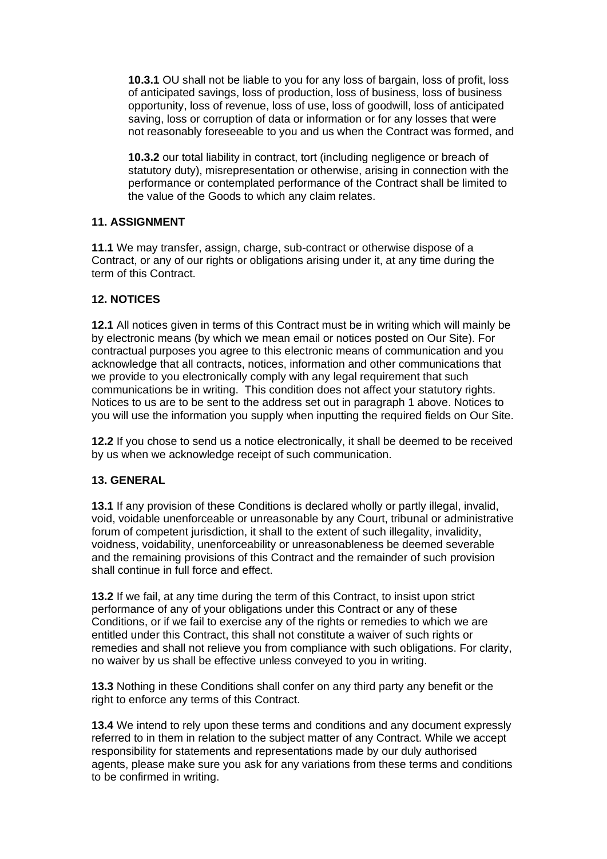**10.3.1** OU shall not be liable to you for any loss of bargain, loss of profit, loss of anticipated savings, loss of production, loss of business, loss of business opportunity, loss of revenue, loss of use, loss of goodwill, loss of anticipated saving, loss or corruption of data or information or for any losses that were not reasonably foreseeable to you and us when the Contract was formed, and

**10.3.2** our total liability in contract, tort (including negligence or breach of statutory duty), misrepresentation or otherwise, arising in connection with the performance or contemplated performance of the Contract shall be limited to the value of the Goods to which any claim relates.

## **11. ASSIGNMENT**

**11.1** We may transfer, assign, charge, sub-contract or otherwise dispose of a Contract, or any of our rights or obligations arising under it, at any time during the term of this Contract.

## **12. NOTICES**

**12.1** All notices given in terms of this Contract must be in writing which will mainly be by electronic means (by which we mean email or notices posted on Our Site). For contractual purposes you agree to this electronic means of communication and you acknowledge that all contracts, notices, information and other communications that we provide to you electronically comply with any legal requirement that such communications be in writing. This condition does not affect your statutory rights. Notices to us are to be sent to the address set out in paragraph 1 above. Notices to you will use the information you supply when inputting the required fields on Our Site.

**12.2** If you chose to send us a notice electronically, it shall be deemed to be received by us when we acknowledge receipt of such communication.

#### **13. GENERAL**

**13.1** If any provision of these Conditions is declared wholly or partly illegal, invalid, void, voidable unenforceable or unreasonable by any Court, tribunal or administrative forum of competent jurisdiction, it shall to the extent of such illegality, invalidity, voidness, voidability, unenforceability or unreasonableness be deemed severable and the remaining provisions of this Contract and the remainder of such provision shall continue in full force and effect.

**13.2** If we fail, at any time during the term of this Contract, to insist upon strict performance of any of your obligations under this Contract or any of these Conditions, or if we fail to exercise any of the rights or remedies to which we are entitled under this Contract, this shall not constitute a waiver of such rights or remedies and shall not relieve you from compliance with such obligations. For clarity, no waiver by us shall be effective unless conveyed to you in writing.

**13.3** Nothing in these Conditions shall confer on any third party any benefit or the right to enforce any terms of this Contract.

**13.4** We intend to rely upon these terms and conditions and any document expressly referred to in them in relation to the subject matter of any Contract. While we accept responsibility for statements and representations made by our duly authorised agents, please make sure you ask for any variations from these terms and conditions to be confirmed in writing.